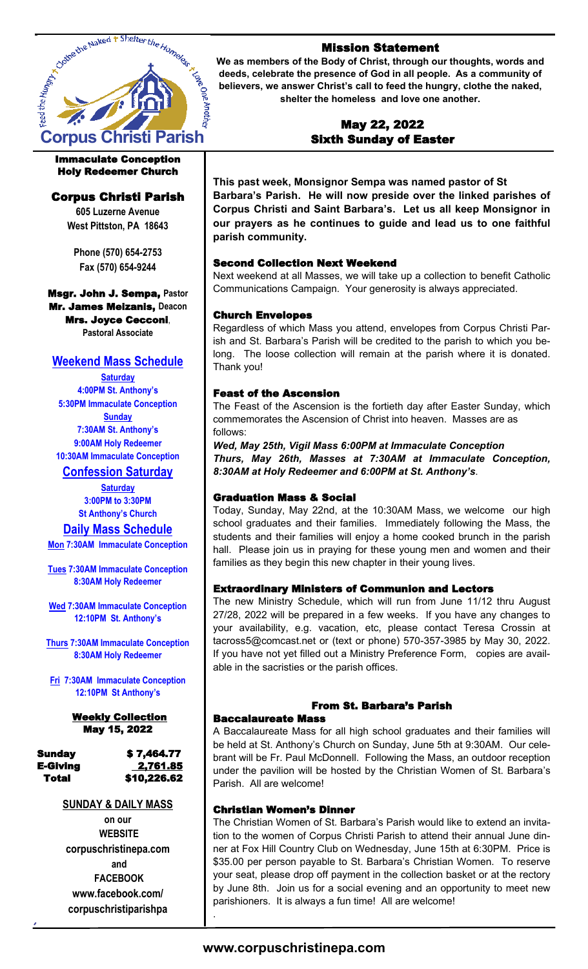

#### Immaculate Conception Holy Redeemer Church

# Corpus Christi Parish

**605 Luzerne Avenue West Pittston, PA 18643**

**Phone (570) 654-2753 Fax (570) 654-9244**

#### Msgr. John J. Sempa, **Pastor** Mr. James Meizanis, **Deacon** Mrs. Joyce Cecconi, **Pastoral Associate**

# **Weekend Mass Schedule**

**Saturday 4:00PM St. Anthony's 5:30PM Immaculate Conception Sunday 7:30AM St. Anthony's 9:00AM Holy Redeemer 10:30AM Immaculate Conception**

# **Confession Saturday**

**Saturday 3:00PM to 3:30PM St Anthony's Church**

## **Daily Mass Schedule**

**Mon 7:30AM Immaculate Conception**

**Tues 7:30AM Immaculate Conception 8:30AM Holy Redeemer** 

**Wed 7:30AM Immaculate Conception 12:10PM St. Anthony's**

**Thurs 7:30AM Immaculate Conception 8:30AM Holy Redeemer**

**Fri 7:30AM Immaculate Conception 12:10PM St Anthony's**

#### Weekly Collection May 15, 2022

# Sunday \$ 7,464.77 E-Giving 2,761.85

Total \$10,226.62

## **SUNDAY & DAILY MASS**

**on our WEBSITE corpuschristinepa.com and FACEBOOK www.facebook.com/ corpuschristiparishpa**

## Mission Statement

**We as members of the Body of Christ, through our thoughts, words and deeds, celebrate the presence of God in all people. As a community of believers, we answer Christ's call to feed the hungry, clothe the naked, shelter the homeless and love one another.** 

## May 22, 2022 Sixth Sunday of Easter

**This past week, Monsignor Sempa was named pastor of St Barbara's Parish. He will now preside over the linked parishes of Corpus Christi and Saint Barbara's. Let us all keep Monsignor in our prayers as he continues to guide and lead us to one faithful parish community.** 

## Second Collection Next Weekend

Next weekend at all Masses, we will take up a collection to benefit Catholic Communications Campaign. Your generosity is always appreciated.

## Church Envelopes

Regardless of which Mass you attend, envelopes from Corpus Christi Parish and St. Barbara's Parish will be credited to the parish to which you belong. The loose collection will remain at the parish where it is donated. Thank you!

## Feast of the Ascension

The Feast of the Ascension is the fortieth day after Easter Sunday, which commemorates the Ascension of Christ into heaven. Masses are as follows:

*Wed, May 25th, Vigil Mass 6:00PM at Immaculate Conception Thurs, May 26th, Masses at 7:30AM at Immaculate Conception, 8:30AM at Holy Redeemer and 6:00PM at St. Anthony's*.

## Graduation Mass & Social

Today, Sunday, May 22nd, at the 10:30AM Mass, we welcome our high school graduates and their families. Immediately following the Mass, the students and their families will enjoy a home cooked brunch in the parish hall. Please join us in praying for these young men and women and their families as they begin this new chapter in their young lives.

## Extraordinary Ministers of Communion and Lectors

The new Ministry Schedule, which will run from June 11/12 thru August 27/28, 2022 will be prepared in a few weeks. If you have any changes to your availability, e.g. vacation, etc, please contact Teresa Crossin at tacross5@comcast.net or (text or phone) 570-357-3985 by May 30, 2022. If you have not yet filled out a Ministry Preference Form, copies are available in the sacristies or the parish offices.

## From St. Barbara's Parish

### Baccalaureate Mass

A Baccalaureate Mass for all high school graduates and their families will be held at St. Anthony's Church on Sunday, June 5th at 9:30AM. Our celebrant will be Fr. Paul McDonnell. Following the Mass, an outdoor reception under the pavilion will be hosted by the Christian Women of St. Barbara's Parish. All are welcome!

### Christian Women's Dinner

The Christian Women of St. Barbara's Parish would like to extend an invitation to the women of Corpus Christi Parish to attend their annual June dinner at Fox Hill Country Club on Wednesday, June 15th at 6:30PM. Price is \$35.00 per person payable to St. Barbara's Christian Women. To reserve your seat, please drop off payment in the collection basket or at the rectory by June 8th. Join us for a social evening and an opportunity to meet new parishioners. It is always a fun time! All are welcome!

# **www.corpuschristinepa.com**

.